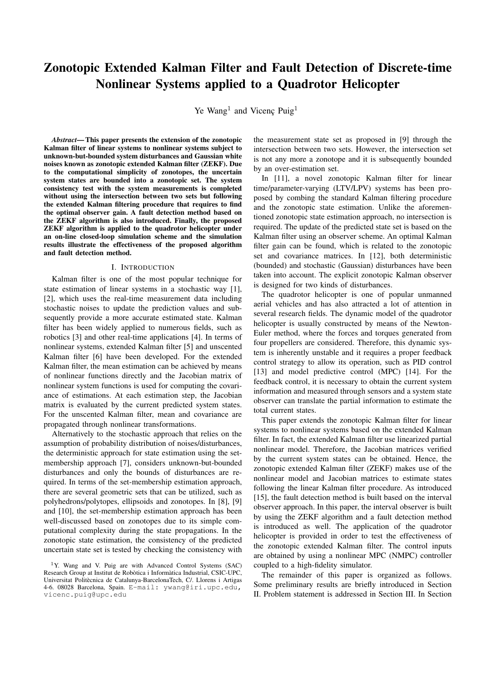# Zonotopic Extended Kalman Filter and Fault Detection of Discrete-time Nonlinear Systems applied to a Quadrotor Helicopter

Ye Wang<sup>1</sup> and Vicenç Puig<sup>1</sup>

*Abstract*— This paper presents the extension of the zonotopic Kalman filter of linear systems to nonlinear systems subject to unknown-but-bounded system disturbances and Gaussian white noises known as zonotopic extended Kalman filter (ZEKF). Due to the computational simplicity of zonotopes, the uncertain system states are bounded into a zonotopic set. The system consistency test with the system measurements is completed without using the intersection between two sets but following the extended Kalman filtering procedure that requires to find the optimal observer gain. A fault detection method based on the ZEKF algorithm is also introduced. Finally, the proposed ZEKF algorithm is applied to the quadrotor helicopter under an on-line closed-loop simulation scheme and the simulation results illustrate the effectiveness of the proposed algorithm and fault detection method.

#### I. INTRODUCTION

Kalman filter is one of the most popular technique for state estimation of linear systems in a stochastic way [1], [2], which uses the real-time measurement data including stochastic noises to update the prediction values and subsequently provide a more accurate estimated state. Kalman filter has been widely applied to numerous fields, such as robotics [3] and other real-time applications [4]. In terms of nonlinear systems, extended Kalman filter [5] and unscented Kalman filter [6] have been developed. For the extended Kalman filter, the mean estimation can be achieved by means of nonlinear functions directly and the Jacobian matrix of nonlinear system functions is used for computing the covariance of estimations. At each estimation step, the Jacobian matrix is evaluated by the current predicted system states. For the unscented Kalman filter, mean and covariance are propagated through nonlinear transformations.

Alternatively to the stochastic approach that relies on the assumption of probability distribution of noises/disturbances, the deterministic approach for state estimation using the setmembership approach [7], considers unknown-but-bounded disturbances and only the bounds of disturbances are required. In terms of the set-membership estimation approach, there are several geometric sets that can be utilized, such as polyhedrons/polytopes, ellipsoids and zonotopes. In [8], [9] and [10], the set-membership estimation approach has been well-discussed based on zonotopes due to its simple computational complexity during the state propagations. In the zonotopic state estimation, the consistency of the predicted uncertain state set is tested by checking the consistency with the measurement state set as proposed in [9] through the intersection between two sets. However, the intersection set is not any more a zonotope and it is subsequently bounded by an over-estimation set.

In [11], a novel zonotopic Kalman filter for linear time/parameter-varying (LTV/LPV) systems has been proposed by combing the standard Kalman filtering procedure and the zonotopic state estimation. Unlike the aforementioned zonotopic state estimation approach, no intersection is required. The update of the predicted state set is based on the Kalman filter using an observer scheme. An optimal Kalman filter gain can be found, which is related to the zonotopic set and covariance matrices. In [12], both deterministic (bounded) and stochastic (Gaussian) disturbances have been taken into account. The explicit zonotopic Kalman observer is designed for two kinds of disturbances.

The quadrotor helicopter is one of popular unmanned aerial vehicles and has also attracted a lot of attention in several research fields. The dynamic model of the quadrotor helicopter is usually constructed by means of the Newton-Euler method, where the forces and torques generated from four propellers are considered. Therefore, this dynamic system is inherently unstable and it requires a proper feedback control strategy to allow its operation, such as PID control [13] and model predictive control (MPC) [14]. For the feedback control, it is necessary to obtain the current system information and measured through sensors and a system state observer can translate the partial information to estimate the total current states.

This paper extends the zonotopic Kalman filter for linear systems to nonlinear systems based on the extended Kalman filter. In fact, the extended Kalman filter use linearized partial nonlinear model. Therefore, the Jacobian matrices verified by the current system states can be obtained. Hence, the zonotopic extended Kalman filter (ZEKF) makes use of the nonlinear model and Jacobian matrices to estimate states following the linear Kalman filter procedure. As introduced [15], the fault detection method is built based on the interval observer approach. In this paper, the interval observer is built by using the ZEKF algorithm and a fault detection method is introduced as well. The application of the quadrotor helicopter is provided in order to test the effectiveness of the zonotopic extended Kalman filter. The control inputs are obtained by using a nonlinear MPC (NMPC) controller coupled to a high-fidelity simulator.

The remainder of this paper is organized as follows. Some preliminary results are briefly introduced in Section II. Problem statement is addressed in Section III. In Section

 $1$ Y. Wang and V. Puig are with Advanced Control Systems (SAC) Research Group at Institut de Robòtica i Informàtica Industrial, CSIC-UPC, Universitat Politècnica de Catalunya-BarcelonaTech, C/. Llorens i Artigas 4-6. 08028 Barcelona, Spain. E-mail: ywang@iri.upc.edu, vicenc.puig@upc.edu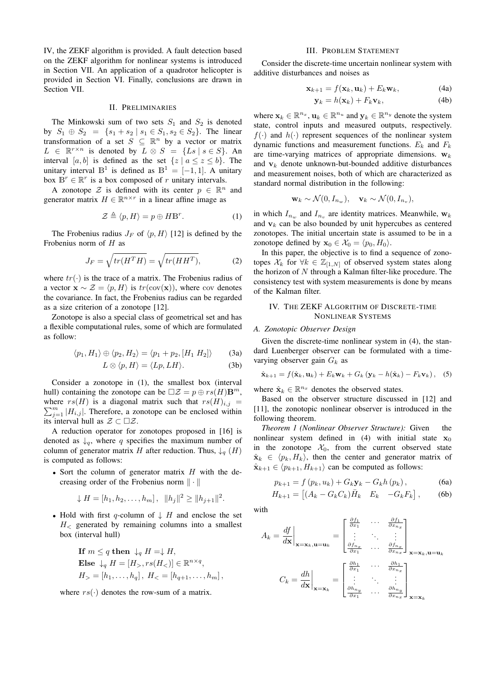IV, the ZEKF algorithm is provided. A fault detection based on the ZEKF algorithm for nonlinear systems is introduced in Section VII. An application of a quadrotor helicopter is provided in Section VI. Finally, conclusions are drawn in Section VII.

#### II. PRELIMINARIES

The Minkowski sum of two sets  $S_1$  and  $S_2$  is denoted by  $S_1 \oplus S_2 = \{s_1 + s_2 \mid s_1 \in S_1, s_2 \in S_2\}$ . The linear transformation of a set  $S \subseteq \mathbb{R}^n$  by a vector or matrix  $L \in \mathbb{R}^{r \times n}$  is denoted by  $L \otimes S = \{Ls \mid s \in S\}$ . An interval [a, b] is defined as the set  $\{z \mid a \le z \le b\}$ . The unitary interval  $\mathbb{B}^1$  is defined as  $\mathbb{B}^1 = [-1,1]$ . A unitary box  $\mathbb{B}^r \in \mathbb{R}^r$  is a box composed of r unitary intervals.

A zonotope  $\mathcal Z$  is defined with its center  $p \in \mathbb R^n$  and generator matrix  $H \in \mathbb{R}^{n \times r}$  in a linear affine image as

$$
\mathcal{Z} \triangleq \langle p, H \rangle = p \oplus H \mathbb{B}^r. \tag{1}
$$

The Frobenius radius  $J_F$  of  $\langle p, H \rangle$  [12] is defined by the Frobenius norm of  $H$  as

$$
J_F = \sqrt{tr(H^T H)} = \sqrt{tr(H H^T)},
$$
 (2)

where  $tr(\cdot)$  is the trace of a matrix. The Frobenius radius of a vector  $\mathbf{x} \sim \mathcal{Z} = \langle p, H \rangle$  is  $tr(\text{cov}(\mathbf{x}))$ , where cov denotes the covariance. In fact, the Frobenius radius can be regarded as a size criterion of a zonotope [12].

Zonotope is also a special class of geometrical set and has a flexible computational rules, some of which are formulated as follow:

$$
\langle p_1, H_1 \rangle \oplus \langle p_2, H_2 \rangle = \langle p_1 + p_2, [H_1 \ H_2] \rangle \qquad (3a)
$$

$$
L \otimes \langle p, H \rangle = \langle Lp, LH \rangle. \qquad (3b)
$$

Consider a zonotope in (1), the smallest box (interval hull) containing the zonotope can be  $\Box Z = p \oplus rs(H)B^m$ ,  $\sum_{j=1}^{m} |H_{i,j}|$ . Therefore, a zonotope can be enclosed within where  $rs(H)$  is a diagonal matrix such that  $rs(H)_{i,j}$  = its interval hull as  $\mathcal{Z} \subset \square \mathcal{Z}$ .

A reduction operator for zonotopes proposed in [16] is denoted as  $\downarrow_q$ , where q specifies the maximum number of column of generator matrix H after reduction. Thus,  $\downarrow_q$  (H) is computed as follows:

• Sort the column of generator matrix  $H$  with the decreasing order of the Frobenius norm  $\|\cdot\|$ 

$$
\downarrow H = [h_1, h_2, \dots, h_m], \ \ ||h_j||^2 \ge ||h_{j+1}||^2.
$$

• Hold with first q-column of  $\downarrow$  H and enclose the set  $H<sub>z</sub>$  generated by remaining columns into a smallest box (interval hull)

If 
$$
m \leq q
$$
 then  $\downarrow_q H = \downarrow H$ ,  
\nElse  $\downarrow_q H = [H_>, rs(H_<)] \in \mathbb{R}^{n \times q}$ ,  
\n $H_> = [h_1, \ldots, h_q]$ ,  $H_< = [h_{q+1}, \ldots, h_m]$ ,

where  $rs(\cdot)$  denotes the row-sum of a matrix.

#### III. PROBLEM STATEMENT

Consider the discrete-time uncertain nonlinear system with additive disturbances and noises as

$$
\mathbf{x}_{k+1} = f(\mathbf{x}_k, \mathbf{u}_k) + E_k \mathbf{w}_k, \tag{4a}
$$

$$
\mathbf{y}_k = h(\mathbf{x}_k) + F_k \mathbf{v}_k, \tag{4b}
$$

where  $\mathbf{x}_k \in \mathbb{R}^{n_x}$ ,  $\mathbf{u}_k \in \mathbb{R}^{n_u}$  and  $\mathbf{y}_k \in \mathbb{R}^{n_y}$  denote the system state, control inputs and measured outputs, respectively.  $f(\cdot)$  and  $h(\cdot)$  represent sequences of the nonlinear system dynamic functions and measurement functions.  $E_k$  and  $F_k$ are time-varying matrices of appropriate dimensions.  $w_k$ and  $v_k$  denote unknown-but-bounded additive disturbances and measurement noises, both of which are characterized as standard normal distribution in the following:

$$
\mathbf{w}_k \sim \mathcal{N}(0, I_{n_w}), \quad \mathbf{v}_k \sim \mathcal{N}(0, I_{n_v}),
$$

in which  $I_{n_w}$  and  $I_{n_v}$  are identity matrices. Meanwhile,  $w_k$ and  $v_k$  can be also bounded by unit hypercubes as centered zonotopes. The initial uncertain state is assumed to be in a zonotope defined by  $\mathbf{x}_0 \in \mathcal{X}_0 = \langle p_0, H_0 \rangle$ .

In this paper, the objective is to find a sequence of zonotopes  $\mathcal{X}_k$  for  $\forall k \in \mathbb{Z}_{[1,N]}$  of observed system states along the horizon of  $N$  through a Kalman filter-like procedure. The consistency test with system measurements is done by means of the Kalman filter.

## IV. THE ZEKF ALGORITHM OF DISCRETE-TIME NONLINEAR SYSTEMS

#### *A. Zonotopic Observer Design*

Given the discrete-time nonlinear system in (4), the standard Luenberger observer can be formulated with a timevarying observer gain  $G_k$  as

$$
\hat{\mathbf{x}}_{k+1} = f(\hat{\mathbf{x}}_k, \mathbf{u}_k) + E_k \mathbf{w}_k + G_k (\mathbf{y}_k - h(\hat{\mathbf{x}}_k) - F_k \mathbf{v}_k), \quad (5)
$$

where  $\hat{\mathbf{x}}_k \in \mathbb{R}^{n_x}$  denotes the observed states.

Based on the observer structure discussed in [12] and [11], the zonotopic nonlinear observer is introduced in the following theorem.

*Theorem 1 (Nonlinear Observer Structure):* Given the nonlinear system defined in (4) with initial state  $x_0$ in the zonotope  $\mathcal{X}_0$ , from the current observed state  $\hat{\mathbf{x}}_k \in \langle p_k, H_k \rangle$ , then the center and generator matrix of  $\hat{\mathbf{x}}_{k+1} \in \langle p_{k+1}, H_{k+1} \rangle$  can be computed as follows:

$$
p_{k+1} = f(p_k, u_k) + G_k \mathbf{y}_k - G_k h(p_k),
$$
 (6a)

$$
H_{k+1} = \begin{bmatrix} (A_k - G_k C_k) \bar{H}_k & E_k & -G_k F_k \end{bmatrix},\tag{6b}
$$

with

$$
A_k = \frac{df}{d\mathbf{x}}\Big|_{\mathbf{x} = \mathbf{x}_k, \mathbf{u} = \mathbf{u}_k} = \begin{bmatrix} \frac{\partial f_1}{\partial x_1} & \cdots & \frac{\partial f_1}{\partial x_{n_x}} \\ \vdots & \ddots & \vdots \\ \frac{\partial f_{n_x}}{\partial x_1} & \cdots & \frac{\partial f_{n_x}}{\partial x_{n_x}} \end{bmatrix}_{\mathbf{x} = \mathbf{x}_k, \mathbf{u} = \mathbf{u}_k}
$$

$$
C_k = \frac{dh}{d\mathbf{x}}\Big|_{\mathbf{x} = \mathbf{x}_k} = \begin{bmatrix} \frac{\partial h_1}{\partial x_1} & \cdots & \frac{\partial h_1}{\partial x_{n_x}} \\ \vdots & \ddots & \vdots \\ \frac{\partial h_{n_y}}{\partial x_1} & \cdots & \frac{\partial h_{n_y}}{\partial x_{n_x}} \end{bmatrix}_{\mathbf{x} = \mathbf{x}_k}
$$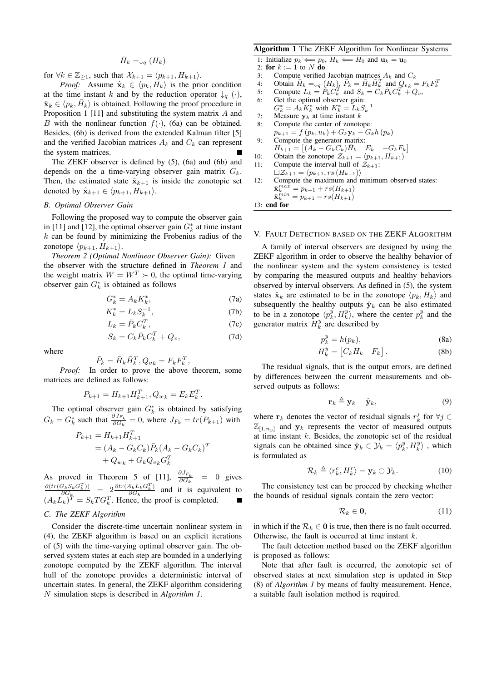$$
\bar{H}_k = \downarrow_q (H_k)
$$

for  $\forall k \in \mathbb{Z}_{\geq 1}$ , such that  $\mathcal{X}_{k+1} = \langle p_{k+1}, H_{k+1} \rangle$ .

*Proof:* Assume  $\hat{\mathbf{x}}_k \in \langle p_k, H_k \rangle$  is the prior condition at the time instant k and by the reduction operator  $\downarrow_q (\cdot)$ ,  $\hat{\mathbf{x}}_k \in \langle p_k, \bar{H}_k \rangle$  is obtained. Following the proof procedure in Proposition 1 [11] and substituting the system matrix A and B with the nonlinear function  $f(\cdot)$ , (6a) can be obtained. Besides, (6b) is derived from the extended Kalman filter [5] and the verified Jacobian matrices  $A_k$  and  $C_k$  can represent the system matrices.

The ZEKF observer is defined by (5), (6a) and (6b) and depends on the a time-varying observer gain matrix  $G_k$ . Then, the estimated state  $\hat{\mathbf{x}}_{k+1}$  is inside the zonotopic set denoted by  $\hat{\mathbf{x}}_{k+1} \in \langle p_{k+1}, H_{k+1} \rangle$ .

# *B. Optimal Observer Gain*

Following the proposed way to compute the observer gain in [11] and [12], the optimal observer gain  $G_k^*$  at time instant  $k$  can be found by minimizing the Frobenius radius of the zonotope  $\langle p_{k+1}, H_{k+1} \rangle$ .

*Theorem 2 (Optimal Nonlinear Observer Gain):* Given the observer with the structure defined in *Theorem 1* and the weight matrix  $W = W^T \succ 0$ , the optimal time-varying observer gain  $G_k^*$  is obtained as follows

$$
G_k^* = A_k K_k^*,\tag{7a}
$$

$$
K_k^* = L_k S_k^{-1},\tag{7b}
$$

$$
L_k = \bar{P}_k C_k^T,\tag{7c}
$$

$$
S_k = C_k \bar{P}_k C_k^T + Q_v,\tag{7d}
$$

where

$$
\bar{P}_k = \bar{H}_k \bar{H}_k^T, Q_{v_k} = F_k F_k^T,
$$

 $P_k = H_k H_k^T, Q_{v_k} = F_k F_k^T,$ <br>*Proof:* In order to prove the above theorem, some matrices are defined as follows:

$$
P_{k+1} = H_{k+1} H_{k+1}^T, Q_{w_k} = E_k E_k^T.
$$

The optimal observer gain  $G_k^*$  is obtained by satisfying  $G_k = G_k^*$  such that  $\frac{\partial J_{F_k}}{\partial G_k} = 0$ , where  $J_{F_k} = tr(P_{k+1})$  with

$$
P_{k+1} = H_{k+1} H_{k+1}^T
$$
  
=  $(A_k - G_k C_k) \bar{P}_k (A_k - G_k C_k)^T$   
+  $Q_{w_k} + G_k Q_{v_k} G_k^T$ 

As proved in Theorem 5 of [11],  $\frac{\partial J_{F_k}}{\partial G_k}$  = 0 gives  $\frac{\partial (tr(G_kS_kG_k^T))}{\partial (er(G_lS_kG_k^T))}$  $\frac{G_k S_k G_k^T(j)}}{\partial G_k} = 2 \frac{\partial tr(A_k L_k G_k^T)}{\partial G_k}$  $\frac{a_k L_k G_k}{\partial G_k}$  and it is equivalent to  $(A_k L_k)^T = S_k T G_k^T$ . Hence, the proof is completed.

## *C. The ZEKF Algorithm*

Consider the discrete-time uncertain nonlinear system in (4), the ZEKF algorithm is based on an explicit iterations of (5) with the time-varying optimal observer gain. The observed system states at each step are bounded in a underlying zonotope computed by the ZEKF algorithm. The interval hull of the zonotope provides a deterministic interval of uncertain states. In general, the ZEKF algorithm considering N simulation steps is described in *Algorithm 1*.

# Algorithm 1 The ZEKF Algorithm for Nonlinear Systems

1: Initialize 
$$
p_k \Leftarrow p_0
$$
,  $H_k \Leftarrow H_0$  and  $\mathbf{u}_k = \mathbf{u}_0$   
2: **for**  $k := 1$  to N **do**

- 
- 3: Compute verified Jacobian matrices  $A_k$  and  $C_k$
- 4: Obtain  $\overline{H}_k = \downarrow_q (H_k)$ ,  $\overline{P}_k = \overline{H}_k \overline{H}_k^T$  and  $Q_{v_k} = F_k F_k^T$ <br>5: Compute  $L_k = \overline{P}_k C_k^T$  and  $S_k = C_k \overline{P}_k C_k^T + Q_v$ ,
- 6: Get the optimal observer gain:
- $G_k^* = A_k K_k^*$  with  $K_k^* = L_k S_k^{-1}$
- 7: Measure  $y_k$  at time instant  $k$
- 8: Compute the center of zonotope:  $p_{k+1} = f(p_k, u_k) + G_k \mathbf{y}_k - G_k h(p_k)$
- 9: Compute the generator matrix:  $H_{k+1} = \begin{bmatrix} (A_k - G_k C_k) \bar{H}_k & E_k & -G_k F_k \end{bmatrix}$

10: Obtain the zonotope 
$$
\mathcal{Z}_{k+1} = \langle p_{k+1}, H_{k+1} \rangle
$$

- 11: Compute the interval hull of  $\mathcal{Z}_{k+1}$ :  $\Box \mathcal{Z}_{k+1} = \langle p_{k+1}, rs \left( H_{k+1} \right) \rangle$
- 12: Compute the maximum and minimum observed states:  $\hat{\mathbf{x}}_k^{max} = p_{k+1} + rs(H_{k+1})$  $\hat{\mathbf{x}}_k^{min} = p_{k+1} - rs(H_{k+1})$

$$
13: \text{ end for}
$$

# V. FAULT DETECTION BASED ON THE ZEKF ALGORITHM

A family of interval observers are designed by using the ZEKF algorithm in order to observe the healthy behavior of the nonlinear system and the system consistency is tested by comparing the measured outputs and healthy behaviors observed by interval observers. As defined in (5), the system states  $\hat{\mathbf{x}}_k$  are estimated to be in the zonotope  $\langle p_k, H_k \rangle$  and subsequently the healthy outputs  $\hat{y}_k$  can be also estimated to be in a zonotope  $\langle p_k^y, H_k^y \rangle$ , where the center  $p_k^y$  and the generator matrix  $H_k^y$  are described by

$$
p_k^y = h(p_k),\tag{8a}
$$

$$
H_k^y = \begin{bmatrix} C_k H_k & F_k \end{bmatrix} . \tag{8b}
$$

The residual signals, that is the output errors, are defined by differences between the current measurements and observed outputs as follows:

$$
\mathbf{r}_k \triangleq \mathbf{y}_k - \hat{\mathbf{y}}_k,\tag{9}
$$

where  $\mathbf{r}_k$  denotes the vector of residual signals  $r_k^j$  for  $\forall j \in$  $\mathbb{Z}_{[1,n_y]}$  and  $y_k$  represents the vector of measured outputs at time instant  $k$ . Besides, the zonotopic set of the residual signals can be obtained since  $\hat{y}_k \in \mathcal{Y}_k = \langle p_k^y, H_k^y \rangle$ , which is formulated as

$$
\mathcal{R}_k \triangleq \langle r_k^c, H_k^r \rangle = \mathbf{y}_k \ominus \mathcal{Y}_k. \tag{10}
$$

The consistency test can be proceed by checking whether the bounds of residual signals contain the zero vector:

$$
\mathcal{R}_k \in \mathbf{0},\tag{11}
$$

in which if the  $\mathcal{R}_k \in \mathbf{0}$  is true, then there is no fault occurred. Otherwise, the fault is occurred at time instant  $k$ .

The fault detection method based on the ZEKF algorithm is proposed as follows:

Note that after fault is occurred, the zonotopic set of observed states at next simulation step is updated in Step (8) of *Algorithm 1* by means of faulty measurement. Hence, a suitable fault isolation method is required.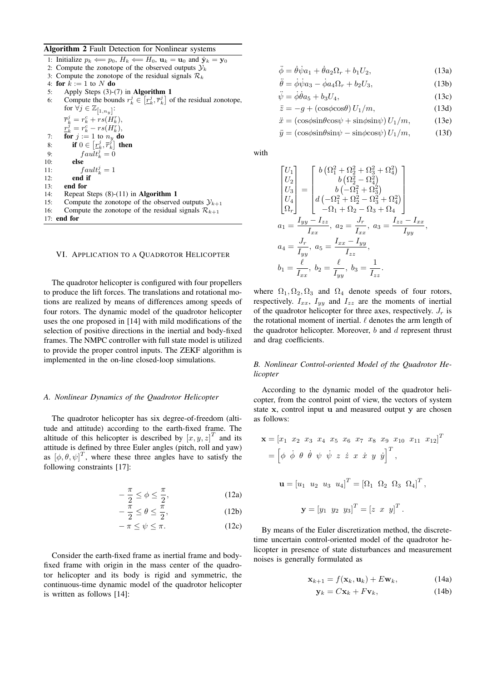## Algorithm 2 Fault Detection for Nonlinear systems

1: Initialize  $p_k \Longleftarrow p_0$ ,  $H_k \Longleftarrow H_0$ ,  $\mathbf{u}_k = \mathbf{u}_0$  and  $\hat{\mathbf{y}}_k = \mathbf{y}_0$ 2: Compute the zonotope of the observed outputs  $\mathcal{Y}_k$ 3: Compute the zonotope of the residual signals  $\mathcal{R}_k$ 4: for  $k := 1$  to N do 5: Apply Steps (3)-(7) in Algorithm 1 6: Compute the bounds  $r_k^j \in [r_k^j, \overline{r}_k^j]$  of the residual zonotope, for  $\forall j \in \mathbb{Z}_{\left[1,n_y\right]}$ :  $\overline{r}_{k}^{j} = r_{k}^{c} + rs(H_{k}^{r}),$  $\underline{r}_k^j = r_k^c - rs(H_k^r),$ 7: **for**  $j := 1$  to  $n_y$  **do** 8: **if**  $0 \in \left[\underline{r}_k^j, \overline{r}_k^j\right]$  then 9:  $f \, a \, u \, \overline{t} \, \overline{t} = 0$ 10: else 11:  $fault_k^j = 1$ 12: end if 13: end for 14: Repeat Steps (8)-(11) in **Algorithm 1**<br>15: Compute the zonotope of the observe Compute the zonotope of the observed outputs  $\mathcal{Y}_{k+1}$ 16: Compute the zonotope of the residual signals  $\mathcal{R}_{k+1}$ 17: end for

## VI. APPLICATION TO A QUADROTOR HELICOPTER

The quadrotor helicopter is configured with four propellers to produce the lift forces. The translations and rotational motions are realized by means of differences among speeds of four rotors. The dynamic model of the quadrotor helicopter uses the one proposed in [14] with mild modifications of the selection of positive directions in the inertial and body-fixed frames. The NMPC controller with full state model is utilized to provide the proper control inputs. The ZEKF algorithm is implemented in the on-line closed-loop simulations.

## *A. Nonlinear Dynamics of the Quadrotor Helicopter*

The quadrotor helicopter has six degree-of-freedom (altitude and attitude) according to the earth-fixed frame. The altitude of this helicopter is described by  $[x, y, z]^T$  and its attitude is defined by three Euler angles (pitch, roll and yaw) as  $[\phi, \theta, \psi]^T$ , where these three angles have to satisfy the following constraints [17]:

$$
-\frac{\pi}{2} \le \phi \le \frac{\pi}{2},\tag{12a}
$$

$$
-\frac{\pi}{2} \le \theta \le \frac{\pi}{2},\tag{12b}
$$

$$
-\pi \le \psi \le \pi. \tag{12c}
$$

Consider the earth-fixed frame as inertial frame and bodyfixed frame with origin in the mass center of the quadrotor helicopter and its body is rigid and symmetric, the continuous-time dynamic model of the quadrotor helicopter is written as follows [14]:

$$
\ddot{\phi} = \dot{\theta}\dot{\psi}a_1 + \dot{\theta}a_2\Omega_r + b_1U_2,\tag{13a}
$$

$$
\ddot{\theta} = \dot{\phi}\dot{\psi}a_3 - \dot{\phi}a_4\Omega_r + b_2U_3,\tag{13b}
$$

$$
\ddot{\psi} = \dot{\phi}\dot{\theta}a_5 + b_3U_4,\tag{13c}
$$

$$
\ddot{z} = -g + (\cos\phi \cos\theta) U_1/m,\tag{13d}
$$

$$
\ddot{x} = (\cos\phi \sin\theta \cos\psi + \sin\phi \sin\psi) U_1/m,
$$
 (13e)

$$
\ddot{y} = (\cos\phi \sin\theta \sin\psi - \sin\phi \cos\psi) U_1/m,\tag{13f}
$$

with

$$
\begin{bmatrix}\nU_1 \\
U_2 \\
U_3 \\
U_4 \\
\Omega_r\n\end{bmatrix} = \begin{bmatrix}\nb\left(\Omega_1^2 + \Omega_2^2 + \Omega_3^2 + \Omega_4^2\right) \\
b\left(\Omega_2^2 - \Omega_4^2\right) \\
b\left(-\Omega_1^2 + \Omega_3^2\right) \\
d\left(-\Omega_1^2 + \Omega_2^2 - \Omega_3^2 + \Omega_4^2\right) \\
- \Omega_1 + \Omega_2 - \Omega_3 + \Omega_4\n\end{bmatrix}
$$
\n
$$
a_1 = \frac{I_{yy} - I_{zz}}{I_{xx}}, \ a_2 = \frac{J_r}{I_{xx}}, \ a_3 = \frac{I_{zz} - I_{xx}}{I_{yy}},
$$
\n
$$
a_4 = \frac{J_r}{I_{yy}}, \ a_5 = \frac{I_{xx} - I_{yy}}{I_{zz}},
$$
\n
$$
b_1 = \frac{\ell}{I_{xx}}, \ b_2 = \frac{\ell}{I_{yy}}, \ b_3 = \frac{1}{I_{zz}}.
$$

where  $\Omega_1, \Omega_2, \Omega_3$  and  $\Omega_4$  denote speeds of four rotors, respectively.  $I_{xx}$ ,  $I_{yy}$  and  $I_{zz}$  are the moments of inertial of the quadrotor helicopter for three axes, respectively.  $J_r$  is the rotational moment of inertial.  $\ell$  denotes the arm length of the quadrotor helicopter. Moreover,  $b$  and  $d$  represent thrust and drag coefficients.

# *B. Nonlinear Control-oriented Model of the Quadrotor Helicopter*

According to the dynamic model of the quadrotor helicopter, from the control point of view, the vectors of system state x, control input u and measured output y are chosen as follows:

$$
\mathbf{x} = \begin{bmatrix} x_1 & x_2 & x_3 & x_4 & x_5 & x_6 & x_7 & x_8 & x_9 & x_{10} & x_{11} & x_{12} \end{bmatrix}^T
$$
  
=  $\begin{bmatrix} \phi & \dot{\phi} & \theta & \dot{\theta} & \psi & \dot{\psi} & z & \dot{z} & x & \dot{x} & y & \dot{y} \end{bmatrix}^T$ ,  

$$
\mathbf{u} = \begin{bmatrix} u_1 & u_2 & u_3 & u_4 \end{bmatrix}^T = \begin{bmatrix} \Omega_1 & \Omega_2 & \Omega_3 & \Omega_4 \end{bmatrix}^T
$$
,  

$$
\mathbf{y} = \begin{bmatrix} y_1 & y_2 & y_3 \end{bmatrix}^T = \begin{bmatrix} z & x & y \end{bmatrix}^T
$$
.

By means of the Euler discretization method, the discretetime uncertain control-oriented model of the quadrotor helicopter in presence of state disturbances and measurement noises is generally formulated as

$$
\mathbf{x}_{k+1} = f(\mathbf{x}_k, \mathbf{u}_k) + E \mathbf{w}_k, \tag{14a}
$$

$$
\mathbf{y}_k = C\mathbf{x}_k + F\mathbf{v}_k,\tag{14b}
$$

 $\sqrt{ }$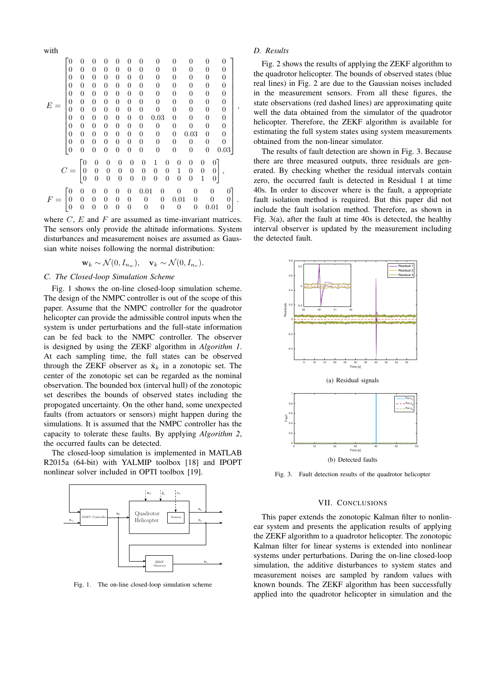with

$$
E = \begin{bmatrix} 0 & 0 & 0 & 0 & 0 & 0 & 0 & 0 & 0 & 0 & 0 & 0 & 0 \\ 0 & 0 & 0 & 0 & 0 & 0 & 0 & 0 & 0 & 0 & 0 & 0 & 0 \\ 0 & 0 & 0 & 0 & 0 & 0 & 0 & 0 & 0 & 0 & 0 & 0 & 0 \\ 0 & 0 & 0 & 0 & 0 & 0 & 0 & 0 & 0 & 0 & 0 & 0 & 0 \\ 0 & 0 & 0 & 0 & 0 & 0 & 0 & 0 & 0 & 0 & 0 & 0 & 0 \\ 0 & 0 & 0 & 0 & 0 & 0 & 0 & 0 & 0 & 0 & 0 & 0 & 0 \\ 0 & 0 & 0 & 0 & 0 & 0 & 0 & 0 & 0 & 0 & 0 & 0 & 0 \\ 0 & 0 & 0 & 0 & 0 & 0 & 0 & 0 & 0 & 0 & 0 & 0 & 0 \\ 0 & 0 & 0 & 0 & 0 & 0 & 0 & 0 & 0 & 0 & 0 & 0 & 0 \\ 0 & 0 & 0 & 0 & 0 & 0 & 0 & 0 & 0 & 0 & 0 & 0 & 0 \\ 0 & 0 & 0 & 0 & 0 & 0 & 0 & 0 & 0 & 0 & 0 & 0 & 0 \\ 0 & 0 & 0 & 0 & 0 & 0 & 0 & 0 & 0 & 0 & 0 & 0 & 0 \\ 0 & 0 & 0 & 0 & 0 & 0 & 0 & 0 & 0 & 0 & 0 & 0 & 0 \\ 0 & 0 & 0 & 0 & 0 & 0 & 0 & 0 & 0 & 0 & 0 & 0 & 0 \\ 0 & 0 & 0 & 0 & 0 & 0 & 0 & 0 & 0 & 0 & 0 & 0 & 0 \\ 0 & 0 & 0 & 0 & 0 & 0 & 0 & 0 & 0 & 0 & 0 & 0 & 0 \\ 0 & 0 & 0 & 0 & 0 & 0 & 0 & 0 & 0 & 0 & 0 & 0 & 0 \\ \end{bmatrix},
$$

where  $C$ ,  $E$  and  $F$  are assumed as time-invariant matrices. The sensors only provide the altitude informations. System disturbances and measurement noises are assumed as Gaussian white noises following the normal distribution:

$$
\mathbf{w}_k \sim \mathcal{N}(0, I_{n_w}), \quad \mathbf{v}_k \sim \mathcal{N}(0, I_{n_v}).
$$

#### *C. The Closed-loop Simulation Scheme*

Fig. 1 shows the on-line closed-loop simulation scheme. The design of the NMPC controller is out of the scope of this paper. Assume that the NMPC controller for the quadrotor helicopter can provide the admissible control inputs when the system is under perturbations and the full-state information can be fed back to the NMPC controller. The observer is designed by using the ZEKF algorithm in *Algorithm 1*. At each sampling time, the full states can be observed through the ZEKF observer as  $\hat{\mathbf{x}}_k$  in a zonotopic set. The center of the zonotopic set can be regarded as the nominal observation. The bounded box (interval hull) of the zonotopic set describes the bounds of observed states including the propogated uncertainty. On the other hand, some unexpected faults (from actuators or sensors) might happen during the simulations. It is assumed that the NMPC controller has the capacity to tolerate these faults. By applying *Algorithm 2*, the occurred faults can be detected.

The closed-loop simulation is implemented in MATLAB R2015a (64-bit) with YALMIP toolbox [18] and IPOPT nonlinear solver included in OPTI toolbox [19].



Fig. 1. The on-line closed-loop simulation scheme

## *D. Results*

Fig. 2 shows the results of applying the ZEKF algorithm to the quadrotor helicopter. The bounds of observed states (blue real lines) in Fig. 2 are due to the Gaussian noises included in the measurement sensors. From all these figures, the state observations (red dashed lines) are approximating quite well the data obtained from the simulator of the quadrotor helicopter. Therefore, the ZEKF algorithm is available for estimating the full system states using system measurements obtained from the non-linear simulator.

The results of fault detection are shown in Fig. 3. Because there are three measured outputs, three residuals are generated. By checking whether the residual intervals contain zero, the occurred fault is detected in Residual 1 at time 40s. In order to discover where is the fault, a appropriate fault isolation method is required. But this paper did not include the fault isolation method. Therefore, as shown in Fig. 3(a), after the fault at time 40s is detected, the healthy interval observer is updated by the measurement including the detected fault.



Fig. 3. Fault detection results of the quadrotor helicopter

#### VII. CONCLUSIONS

This paper extends the zonotopic Kalman filter to nonlinear system and presents the application results of applying the ZEKF algorithm to a quadrotor helicopter. The zonotopic Kalman filter for linear systems is extended into nonlinear systems under perturbations. During the on-line closed-loop simulation, the additive disturbances to system states and measurement noises are sampled by random values with known bounds. The ZEKF algorithm has been successfully applied into the quadrotor helicopter in simulation and the